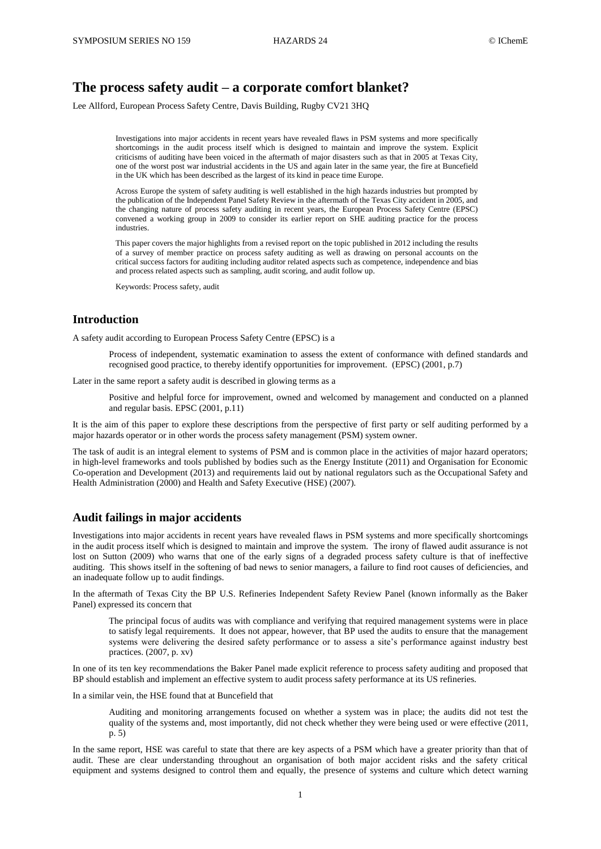# **The process safety audit – a corporate comfort blanket?**

Lee Allford, European Process Safety Centre, Davis Building, Rugby CV21 3HQ

Investigations into major accidents in recent years have revealed flaws in PSM systems and more specifically shortcomings in the audit process itself which is designed to maintain and improve the system. Explicit criticisms of auditing have been voiced in the aftermath of major disasters such as that in 2005 at Texas City, one of the worst post war industrial accidents in the US and again later in the same year, the fire at Buncefield in the UK which has been described as the largest of its kind in peace time Europe.

Across Europe the system of safety auditing is well established in the high hazards industries but prompted by the publication of the Independent Panel Safety Review in the aftermath of the Texas City accident in 2005, and the changing nature of process safety auditing in recent years, the European Process Safety Centre (EPSC) convened a working group in 2009 to consider its earlier report on SHE auditing practice for the process industries.

This paper covers the major highlights from a revised report on the topic published in 2012 including the results of a survey of member practice on process safety auditing as well as drawing on personal accounts on the critical success factors for auditing including auditor related aspects such as competence, independence and bias and process related aspects such as sampling, audit scoring, and audit follow up.

Keywords: Process safety, audit

### **Introduction**

A safety audit according to European Process Safety Centre (EPSC) is a

Process of independent, systematic examination to assess the extent of conformance with defined standards and recognised good practice, to thereby identify opportunities for improvement. (EPSC) (2001, p.7)

Later in the same report a safety audit is described in glowing terms as a

Positive and helpful force for improvement, owned and welcomed by management and conducted on a planned and regular basis. EPSC (2001, p.11)

It is the aim of this paper to explore these descriptions from the perspective of first party or self auditing performed by a major hazards operator or in other words the process safety management (PSM) system owner.

The task of audit is an integral element to systems of PSM and is common place in the activities of major hazard operators; in high-level frameworks and tools published by bodies such as the Energy Institute (2011) and Organisation for Economic Co-operation and Development (2013) and requirements laid out by national regulators such as the Occupational Safety and Health Administration (2000) and Health and Safety Executive (HSE) (2007).

### **Audit failings in major accidents**

Investigations into major accidents in recent years have revealed flaws in PSM systems and more specifically shortcomings in the audit process itself which is designed to maintain and improve the system. The irony of flawed audit assurance is not lost on Sutton (2009) who warns that one of the early signs of a degraded process safety culture is that of ineffective auditing. This shows itself in the softening of bad news to senior managers, a failure to find root causes of deficiencies, and an inadequate follow up to audit findings.

In the aftermath of Texas City the BP U.S. Refineries Independent Safety Review Panel (known informally as the Baker Panel) expressed its concern that

The principal focus of audits was with compliance and verifying that required management systems were in place to satisfy legal requirements. It does not appear, however, that BP used the audits to ensure that the management systems were delivering the desired safety performance or to assess a site's performance against industry best practices. (2007, p. xv)

In one of its ten key recommendations the Baker Panel made explicit reference to process safety auditing and proposed that BP should establish and implement an effective system to audit process safety performance at its US refineries.

In a similar vein, the HSE found that at Buncefield that

Auditing and monitoring arrangements focused on whether a system was in place; the audits did not test the quality of the systems and, most importantly, did not check whether they were being used or were effective (2011, p. 5)

In the same report, HSE was careful to state that there are key aspects of a PSM which have a greater priority than that of audit. These are clear understanding throughout an organisation of both major accident risks and the safety critical equipment and systems designed to control them and equally, the presence of systems and culture which detect warning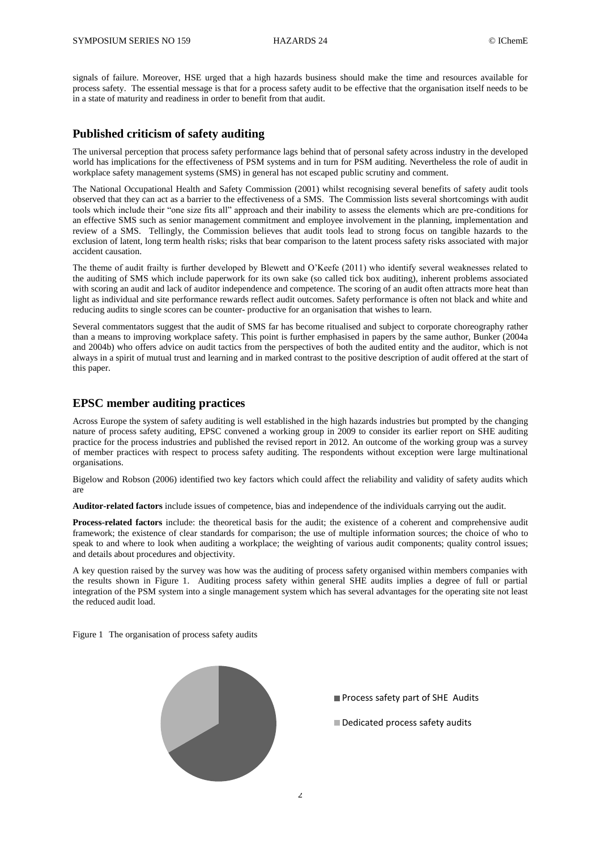signals of failure. Moreover, HSE urged that a high hazards business should make the time and resources available for process safety. The essential message is that for a process safety audit to be effective that the organisation itself needs to be in a state of maturity and readiness in order to benefit from that audit.

### **Published criticism of safety auditing**

The universal perception that process safety performance lags behind that of personal safety across industry in the developed world has implications for the effectiveness of PSM systems and in turn for PSM auditing. Nevertheless the role of audit in workplace safety management systems (SMS) in general has not escaped public scrutiny and comment.

The National Occupational Health and Safety Commission (2001) whilst recognising several benefits of safety audit tools observed that they can act as a barrier to the effectiveness of a SMS. The Commission lists several shortcomings with audit tools which include their "one size fits all" approach and their inability to assess the elements which are pre-conditions for an effective SMS such as senior management commitment and employee involvement in the planning, implementation and review of a SMS. Tellingly, the Commission believes that audit tools lead to strong focus on tangible hazards to the exclusion of latent, long term health risks; risks that bear comparison to the latent process safety risks associated with major accident causation.

The theme of audit frailty is further developed by Blewett and O'Keefe (2011) who identify several weaknesses related to the auditing of SMS which include paperwork for its own sake (so called tick box auditing), inherent problems associated with scoring an audit and lack of auditor independence and competence. The scoring of an audit often attracts more heat than light as individual and site performance rewards reflect audit outcomes. Safety performance is often not black and white and reducing audits to single scores can be counter- productive for an organisation that wishes to learn.

Several commentators suggest that the audit of SMS far has become ritualised and subject to corporate choreography rather than a means to improving workplace safety. This point is further emphasised in papers by the same author, Bunker (2004a and 2004b) who offers advice on audit tactics from the perspectives of both the audited entity and the auditor, which is not always in a spirit of mutual trust and learning and in marked contrast to the positive description of audit offered at the start of this paper.

## **EPSC member auditing practices**

Across Europe the system of safety auditing is well established in the high hazards industries but prompted by the changing nature of process safety auditing, EPSC convened a working group in 2009 to consider its earlier report on SHE auditing practice for the process industries and published the revised report in 2012. An outcome of the working group was a survey of member practices with respect to process safety auditing. The respondents without exception were large multinational organisations.

Bigelow and Robson (2006) identified two key factors which could affect the reliability and validity of safety audits which are

**Auditor-related factors** include issues of competence, bias and independence of the individuals carrying out the audit.

**Process-related factors** include: the theoretical basis for the audit; the existence of a coherent and comprehensive audit framework; the existence of clear standards for comparison; the use of multiple information sources; the choice of who to speak to and where to look when auditing a workplace; the weighting of various audit components; quality control issues; and details about procedures and objectivity.

A key question raised by the survey was how was the auditing of process safety organised within members companies with the results shown in Figure 1. Auditing process safety within general SHE audits implies a degree of full or partial integration of the PSM system into a single management system which has several advantages for the operating site not least the reduced audit load.

Figure 1 The organisation of process safety audits



Process safety part of SHE Audits

Dedicated process safety audits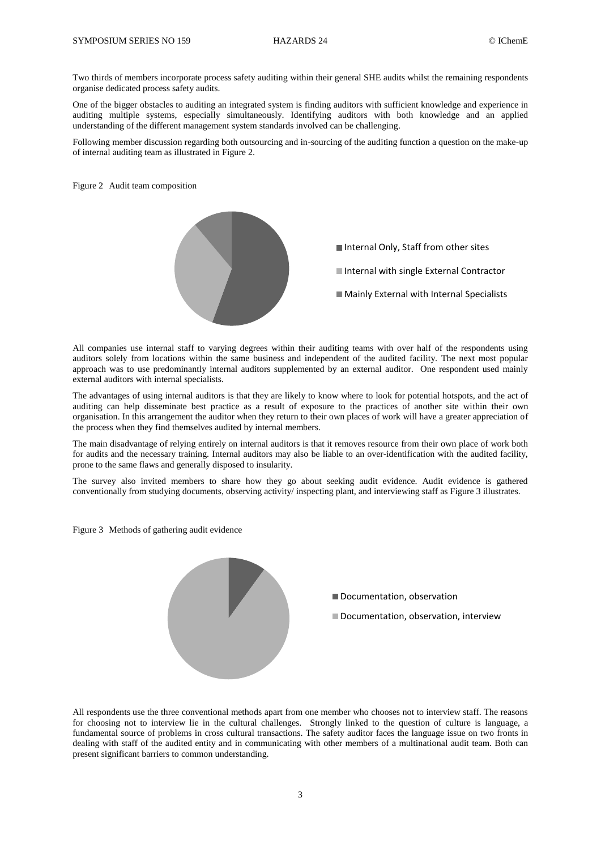Two thirds of members incorporate process safety auditing within their general SHE audits whilst the remaining respondents organise dedicated process safety audits.

One of the bigger obstacles to auditing an integrated system is finding auditors with sufficient knowledge and experience in auditing multiple systems, especially simultaneously. Identifying auditors with both knowledge and an applied understanding of the different management system standards involved can be challenging.

Following member discussion regarding both outsourcing and in-sourcing of the auditing function a question on the make-up of internal auditing team as illustrated in Figure 2.

Figure 2 Audit team composition



All companies use internal staff to varying degrees within their auditing teams with over half of the respondents using auditors solely from locations within the same business and independent of the audited facility. The next most popular approach was to use predominantly internal auditors supplemented by an external auditor. One respondent used mainly external auditors with internal specialists.

The advantages of using internal auditors is that they are likely to know where to look for potential hotspots, and the act of auditing can help disseminate best practice as a result of exposure to the practices of another site within their own organisation. In this arrangement the auditor when they return to their own places of work will have a greater appreciation of the process when they find themselves audited by internal members.

The main disadvantage of relying entirely on internal auditors is that it removes resource from their own place of work both for audits and the necessary training. Internal auditors may also be liable to an over-identification with the audited facility, prone to the same flaws and generally disposed to insularity.

The survey also invited members to share how they go about seeking audit evidence. Audit evidence is gathered conventionally from studying documents, observing activity/ inspecting plant, and interviewing staff as Figure 3 illustrates.

Figure 3 Methods of gathering audit evidence



All respondents use the three conventional methods apart from one member who chooses not to interview staff. The reasons for choosing not to interview lie in the cultural challenges. Strongly linked to the question of culture is language, a fundamental source of problems in cross cultural transactions. The safety auditor faces the language issue on two fronts in dealing with staff of the audited entity and in communicating with other members of a multinational audit team. Both can present significant barriers to common understanding.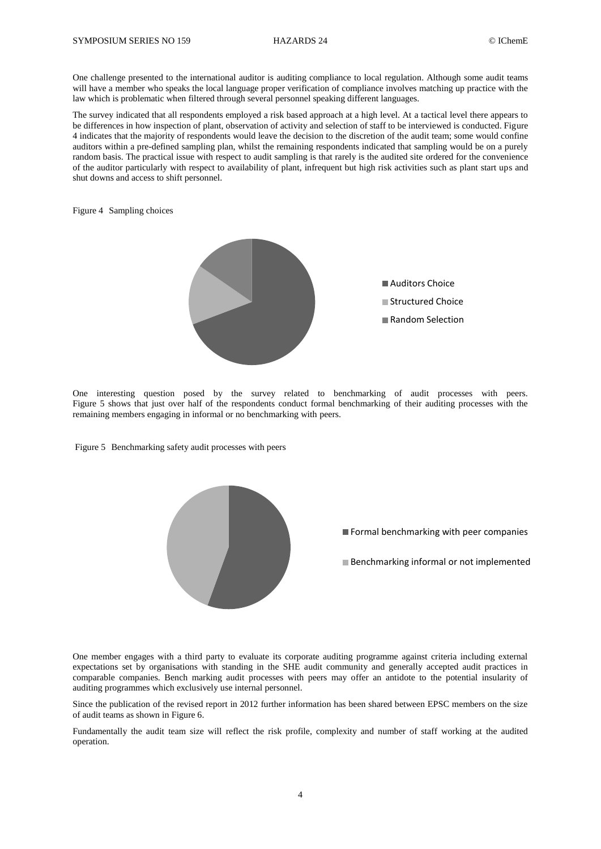One challenge presented to the international auditor is auditing compliance to local regulation. Although some audit teams will have a member who speaks the local language proper verification of compliance involves matching up practice with the law which is problematic when filtered through several personnel speaking different languages.

The survey indicated that all respondents employed a risk based approach at a high level. At a tactical level there appears to be differences in how inspection of plant, observation of activity and selection of staff to be interviewed is conducted. Figure 4 indicates that the majority of respondents would leave the decision to the discretion of the audit team; some would confine auditors within a pre-defined sampling plan, whilst the remaining respondents indicated that sampling would be on a purely random basis. The practical issue with respect to audit sampling is that rarely is the audited site ordered for the convenience of the auditor particularly with respect to availability of plant, infrequent but high risk activities such as plant start ups and shut downs and access to shift personnel.

Figure 4 Sampling choices



One interesting question posed by the survey related to benchmarking of audit processes with peers. Figure 5 shows that just over half of the respondents conduct formal benchmarking of their auditing processes with the remaining members engaging in informal or no benchmarking with peers.

Figure 5 Benchmarking safety audit processes with peers



One member engages with a third party to evaluate its corporate auditing programme against criteria including external expectations set by organisations with standing in the SHE audit community and generally accepted audit practices in comparable companies. Bench marking audit processes with peers may offer an antidote to the potential insularity of auditing programmes which exclusively use internal personnel.

Since the publication of the revised report in 2012 further information has been shared between EPSC members on the size of audit teams as shown in Figure 6.

Fundamentally the audit team size will reflect the risk profile, complexity and number of staff working at the audited operation.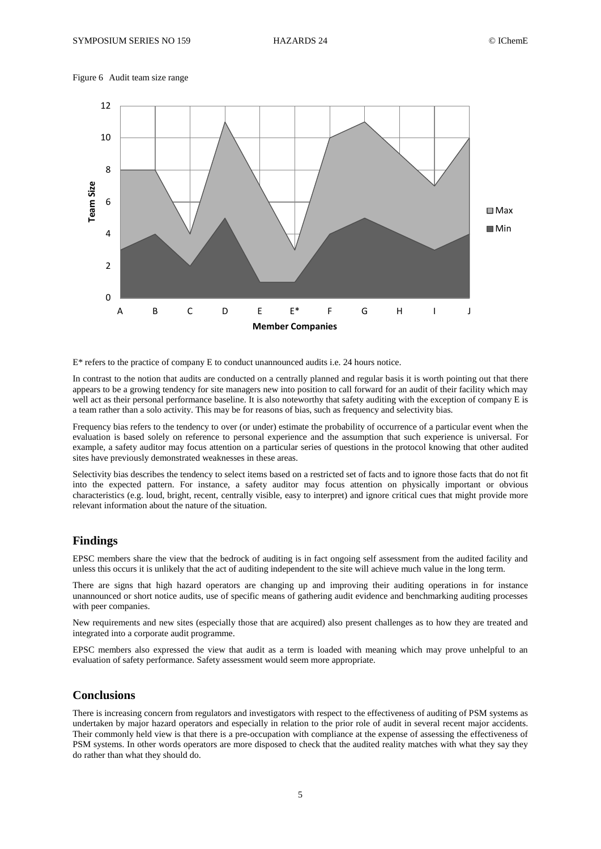Figure 6 Audit team size range



E\* refers to the practice of company E to conduct unannounced audits i.e. 24 hours notice.

In contrast to the notion that audits are conducted on a centrally planned and regular basis it is worth pointing out that there appears to be a growing tendency for site managers new into position to call forward for an audit of their facility which may well act as their personal performance baseline. It is also noteworthy that safety auditing with the exception of company E is a team rather than a solo activity. This may be for reasons of bias, such as frequency and selectivity bias.

Frequency bias refers to the tendency to over (or under) estimate the probability of occurrence of a particular event when the evaluation is based solely on reference to personal experience and the assumption that such experience is universal. For example, a safety auditor may focus attention on a particular series of questions in the protocol knowing that other audited sites have previously demonstrated weaknesses in these areas.

Selectivity bias describes the tendency to select items based on a restricted set of facts and to ignore those facts that do not fit into the expected pattern. For instance, a safety auditor may focus attention on physically important or obvious characteristics (e.g. loud, bright, recent, centrally visible, easy to interpret) and ignore critical cues that might provide more relevant information about the nature of the situation.

### **Findings**

EPSC members share the view that the bedrock of auditing is in fact ongoing self assessment from the audited facility and unless this occurs it is unlikely that the act of auditing independent to the site will achieve much value in the long term.

There are signs that high hazard operators are changing up and improving their auditing operations in for instance unannounced or short notice audits, use of specific means of gathering audit evidence and benchmarking auditing processes with peer companies.

New requirements and new sites (especially those that are acquired) also present challenges as to how they are treated and integrated into a corporate audit programme.

EPSC members also expressed the view that audit as a term is loaded with meaning which may prove unhelpful to an evaluation of safety performance. Safety assessment would seem more appropriate.

## **Conclusions**

There is increasing concern from regulators and investigators with respect to the effectiveness of auditing of PSM systems as undertaken by major hazard operators and especially in relation to the prior role of audit in several recent major accidents. Their commonly held view is that there is a pre-occupation with compliance at the expense of assessing the effectiveness of PSM systems. In other words operators are more disposed to check that the audited reality matches with what they say they do rather than what they should do.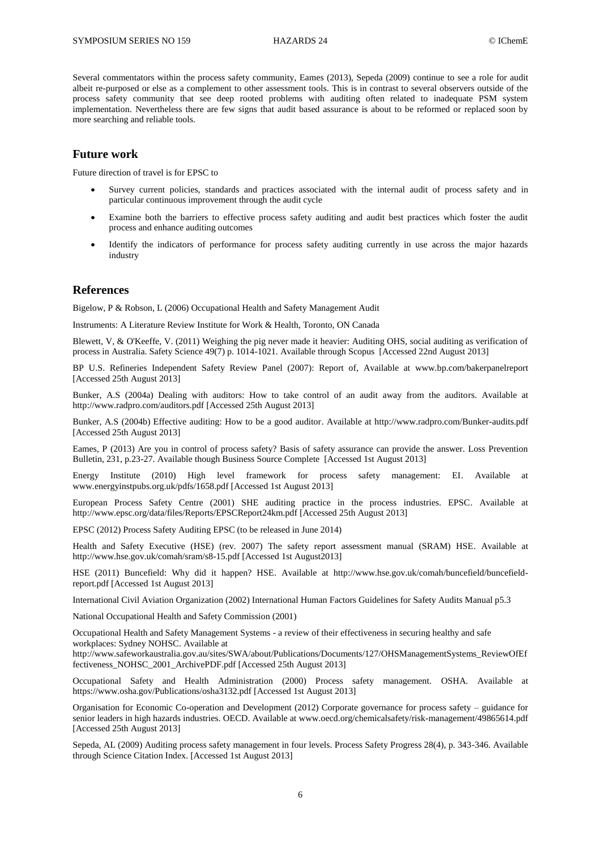Several commentators within the process safety community, Eames (2013), Sepeda (2009) continue to see a role for audit albeit re-purposed or else as a complement to other assessment tools. This is in contrast to several observers outside of the process safety community that see deep rooted problems with auditing often related to inadequate PSM system implementation. Nevertheless there are few signs that audit based assurance is about to be reformed or replaced soon by more searching and reliable tools.

### **Future work**

Future direction of travel is for EPSC to

- Survey current policies, standards and practices associated with the internal audit of process safety and in particular continuous improvement through the audit cycle
- Examine both the barriers to effective process safety auditing and audit best practices which foster the audit process and enhance auditing outcomes
- Identify the indicators of performance for process safety auditing currently in use across the major hazards industry

#### **References**

Bigelow, P & Robson, L (2006) Occupational Health and Safety Management Audit

Instruments: A Literature Review Institute for Work & Health, Toronto, ON Canada

Blewett, V, & O'Keeffe, V. (2011) Weighing the pig never made it heavier: Auditing OHS, social auditing as verification of process in Australia. Safety Science 49(7) p. 1014-1021. Available through Scopus [Accessed 22nd August 2013]

BP U.S. Refineries Independent Safety Review Panel (2007): Report of, Available at [www.bp.com/bakerpanelreport](http://www.bp.com/bakerpanelreport) [Accessed 25th August 2013]

Bunker, A.S (2004a) Dealing with auditors: How to take control of an audit away from the auditors. Available at <http://www.radpro.com/auditors.pdf> [Accessed 25th August 2013]

Bunker, A.S (2004b) Effective auditing: How to be a good auditor. Available at<http://www.radpro.com/Bunker-audits.pdf> [Accessed 25th August 2013]

Eames, P (2013) Are you in control of process safety? Basis of safety assurance can provide the answer. Loss Prevention Bulletin, 231, p.23-27. Available though Business Source Complete [Accessed 1st August 2013]

Energy Institute (2010) High level framework for process safety management: EI. Available at [www.energyinstpubs.org.uk/pdfs/1658.pdf](http://www.energyinstpubs.org.uk/pdfs/1658.pdf) [Accessed 1st August 2013]

European Process Safety Centre (2001) SHE auditing practice in the process industries. EPSC. Available at <http://www.epsc.org/data/files/Reports/EPSCReport24km.pdf> [Accessed 25th August 2013]

EPSC (2012) Process Safety Auditing EPSC (to be released in June 2014)

Health and Safety Executive (HSE) (rev. 2007) The safety report assessment manual (SRAM) HSE. Available at <http://www.hse.gov.uk/comah/sram/s8-15.pdf> [Accessed 1st August2013]

HSE (2011) Buncefield: Why did it happen? HSE. Available at [http://www.hse.gov.uk/comah/buncefield/buncefield](http://www.hse.gov.uk/comah/buncefield/buncefield-report.pdf)[report.pdf](http://www.hse.gov.uk/comah/buncefield/buncefield-report.pdf) [Accessed 1st August 2013]

International Civil Aviation Organization (2002) International Human Factors Guidelines for Safety Audits Manual p5.3

National Occupational Health and Safety Commission (2001)

Occupational Health and Safety Management Systems - a review of their effectiveness in securing healthy and safe workplaces: Sydney NOHSC. Available at

[http://www.safeworkaustralia.gov.au/sites/SWA/about/Publications/Documents/127/OHSManagementSystems\\_ReviewOfEf](http://www.safeworkaustralia.gov.au/sites/SWA/about/Publications/Documents/127/OHSManagementSystems_ReviewOfEffectiveness_NOHSC_2001_ArchivePDF.pdf) [fectiveness\\_NOHSC\\_2001\\_ArchivePDF.pdf](http://www.safeworkaustralia.gov.au/sites/SWA/about/Publications/Documents/127/OHSManagementSystems_ReviewOfEffectiveness_NOHSC_2001_ArchivePDF.pdf) [Accessed 25th August 2013]

Occupational Safety and Health Administration (2000) Process safety management. OSHA. Available at <https://www.osha.gov/Publications/osha3132.pdf> [Accessed 1st August 2013]

Organisation for Economic Co-operation and Development (2012) Corporate governance for process safety – guidance for senior leaders in high hazards industries. OECD. Available at [www.oecd.org/chemicalsafety/risk-management/49865614.pdf](http://www.oecd.org/chemicalsafety/risk-management/49865614.pdf) [Accessed 25th August 2013]

Sepeda, AL (2009) Auditing process safety management in four levels. Process Safety Progress 28(4), p. 343-346. Available through Science Citation Index. [Accessed 1st August 2013]